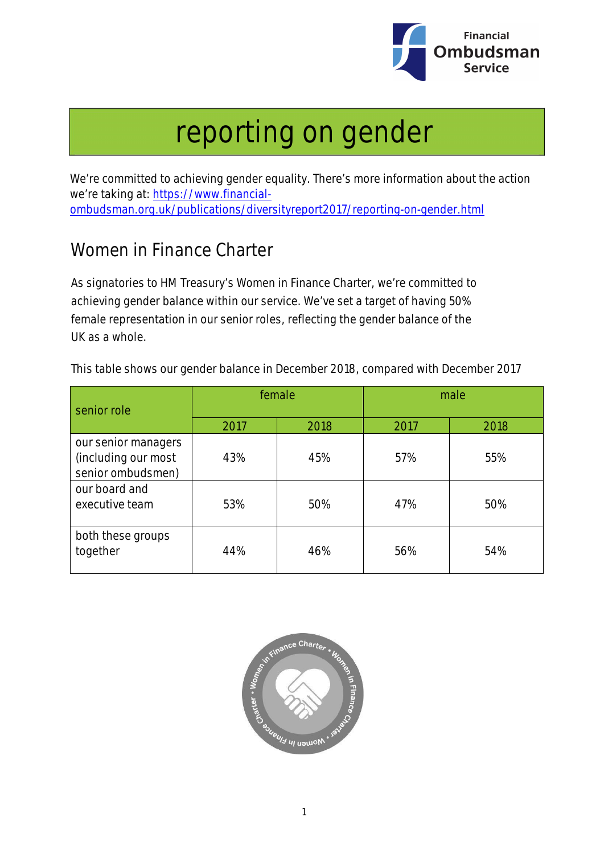

## reporting on gender

We're committed to achieving gender equality. There's more information about the action we're taking at: https://www.financialombudsman.org.uk/publications/diversityreport2017/reporting-on-gender.html

## Women in Finance Charter

As signatories to HM Treasury's Women in Finance Charter, we're committed to achieving gender balance within our service. We've set a target of having 50% female representation in our senior roles, reflecting the gender balance of the UK as a whole.

This table shows our gender balance in December 2018, compared with December 2017

| senior role                                                     | female |      | male |      |
|-----------------------------------------------------------------|--------|------|------|------|
|                                                                 | 2017   | 2018 | 2017 | 2018 |
| our senior managers<br>(including our most<br>senior ombudsmen) | 43%    | 45%  | 57%  | 55%  |
| our board and<br>executive team                                 | 53%    | 50%  | 47%  | 50%  |
| both these groups<br>together                                   | 44%    | 46%  | 56%  | 54%  |